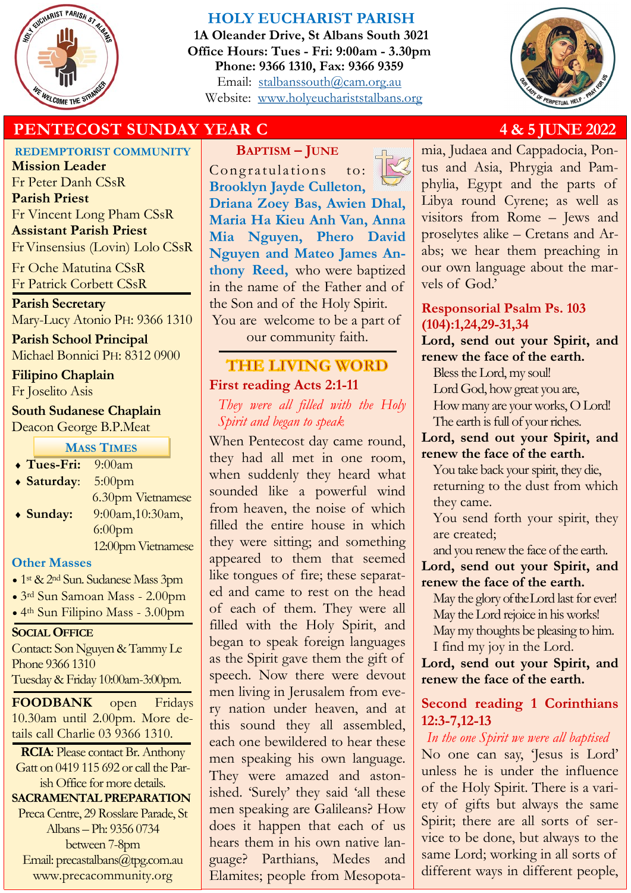

## **HOLY EUCHARIST PARISH**

**1A Oleander Drive, St Albans South 3021 Office Hours: Tues - Fri: 9:00am - 3.30pm Phone: 9366 1310, Fax: 9366 9359** Email: [stalbanssouth@cam.org.au](mailto:stalbanssouth@cam.org.au) Website:[www.holyeuchariststalbans.org](http://www.holyeuchariststalbans.org)



# **PENTECOST SUNDAY YEAR C** 4 & 5 JUNE 2022

**REDEMPTORIST COMMUNITY**

**Mission Leader** Fr Peter Danh CSsR **Parish Priest** Fr Vincent Long Pham CSsR **Assistant Parish Priest**  Fr Vinsensius (Lovin) Lolo CSsR

Fr Oche Matutina CSsR Fr Patrick Corbett CSsR

**Parish Secretary** Mary-Lucy Atonio PH: 9366 1310

**Parish School Principal** Michael Bonnici PH: 8312 0900

**Filipino Chaplain**

Fr Joselito Asis

## **South Sudanese Chaplain** Deacon George B.P.Meat

**MASS TIMES**

 **Tues-Fri:** 9:00am **Saturday**: 5:00pm 6.30pm Vietnamese **Sunday:** 9:00am,10:30am, 6:00pm 12:00pm Vietnamese

## **Other Masses**

- 1<sup>st</sup> & 2<sup>nd</sup> Sun. Sudanese Mass 3pm
- 3rd Sun Samoan Mass 2.00pm
- 4th Sun Filipino Mass 3.00pm

**SOCIAL OFFICE**

Contact: Son Nguyen & Tammy Le Phone 9366 1310

Tuesday & Friday 10:00am-3:00pm.

**FOODBANK** open Fridays 10.30am until 2.00pm. More details call Charlie 03 9366 1310.

**RCIA**: Please contact Br. Anthony Gatt on 0419 115 692 or call the Parish Office for more details.

**SACRAMENTAL PREPARATION**  Preca Centre, 29 Rosslare Parade, St Albans – Ph: 9356 0734 between 7-8pm Email: precastalbans@tpg.com.au www.precacommunity.org

**BAPTISM – JUNE** Congratulations to: **Brooklyn Jayde Culleton, Driana Zoey Bas, Awien Dhal, Maria Ha Kieu Anh Van, Anna Mia Nguyen, Phero David Nguyen and Mateo James Anthony Reed,** who were baptized in the name of the Father and of the Son and of the Holy Spirit. You are welcome to be a part of our community faith.

# **THE LIVING WORD First reading Acts 2:1-11**

*They were all filled with the Holy Spirit and began to speak*

When Pentecost day came round, they had all met in one room, when suddenly they heard what sounded like a powerful wind from heaven, the noise of which filled the entire house in which they were sitting; and something appeared to them that seemed like tongues of fire; these separated and came to rest on the head of each of them. They were all filled with the Holy Spirit, and began to speak foreign languages as the Spirit gave them the gift of speech. Now there were devout men living in Jerusalem from every nation under heaven, and at this sound they all assembled, each one bewildered to hear these men speaking his own language. They were amazed and astonished. 'Surely' they said 'all these men speaking are Galileans? How does it happen that each of us hears them in his own native language? Parthians, Medes and Elamites; people from Mesopota-



mia, Judaea and Cappadocia, Pontus and Asia, Phrygia and Pamphylia, Egypt and the parts of Libya round Cyrene; as well as visitors from Rome – Jews and proselytes alike – Cretans and Arabs; we hear them preaching in our own language about the marvels of God.'

## **Responsorial Psalm Ps. 103 (104):1,24,29-31,34**

**Lord, send out your Spirit, and renew the face of the earth.**

Bless the Lord, my soul!

Lord God, how great you are, How many are your works, O Lord! The earth is full of your riches.

**Lord, send out your Spirit, and renew the face of the earth.**

You take back your spirit, they die, returning to the dust from which they came.

You send forth your spirit, they are created;

and you renew the face of the earth.

**Lord, send out your Spirit, and renew the face of the earth.**

May the glory of the Lord last for ever! May the Lord rejoice in his works! May my thoughts be pleasing to him. I find my joy in the Lord.

**Lord, send out your Spirit, and renew the face of the earth.**

## **Second reading 1 Corinthians 12:3-7,12-13**

*In the one Spirit we were all baptised* No one can say, 'Jesus is Lord' unless he is under the influence of the Holy Spirit. There is a variety of gifts but always the same Spirit; there are all sorts of service to be done, but always to the same Lord; working in all sorts of different ways in different people,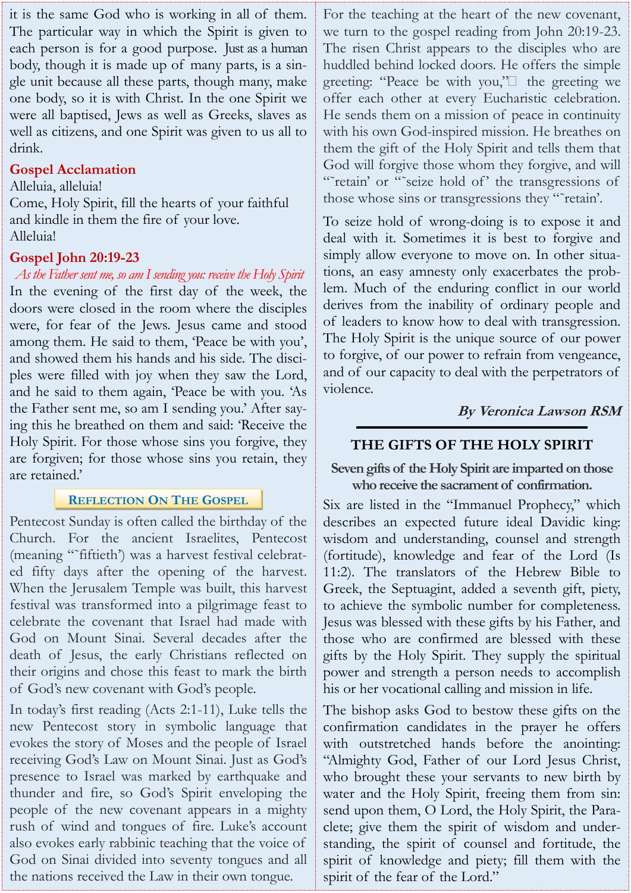it is the same God who is working in all of them. The particular way in which the Spirit is given to each person is for a good purpose. Just as a human body, though it is made up of many parts, is a single unit because all these parts, though many, make one body, so it is with Christ. In the one Spirit we were all baptised, Jews as well as Greeks, slaves as well as citizens, and one Spirit was given to us all to drink.

## **Gospel Acclamation**

Alleluia, alleluia!

Come, Holy Spirit, fill the hearts of your faithful and kindle in them the fire of your love. Alleluia!

## **Gospel John 20:19-23**

*As the Father sent me, so am I sending you: receive the Holy Spirit* In the evening of the first day of the week, the doors were closed in the room where the disciples were, for fear of the Jews. Jesus came and stood among them. He said to them, 'Peace be with you', and showed them his hands and his side. The disciples were filled with joy when they saw the Lord, and he said to them again, 'Peace be with you. 'As the Father sent me, so am I sending you.' After saying this he breathed on them and said: 'Receive the Holy Spirit. For those whose sins you forgive, they are forgiven; for those whose sins you retain, they are retained.'

## **REFLECTION ON THE GOSPEL**

Pentecost Sunday is often called the birthday of the Church. For the ancient Israelites, Pentecost (meaning "˜fiftieth') was a harvest festival celebrated fifty days after the opening of the harvest. When the Jerusalem Temple was built, this harvest festival was transformed into a pilgrimage feast to celebrate the covenant that Israel had made with God on Mount Sinai. Several decades after the death of Jesus, the early Christians reflected on their origins and chose this feast to mark the birth of God's new covenant with God's people.

In today's first reading (Acts 2:1-11), Luke tells the new Pentecost story in symbolic language that evokes the story of Moses and the people of Israel receiving God's Law on Mount Sinai. Just as God's presence to Israel was marked by earthquake and thunder and fire, so God's Spirit enveloping the people of the new covenant appears in a mighty rush of wind and tongues of fire. Luke's account also evokes early rabbinic teaching that the voice of God on Sinai divided into seventy tongues and all the nations received the Law in their own tongue.

For the teaching at the heart of the new covenant, we turn to the gospel reading from John 20:19-23. The risen Christ appears to the disciples who are huddled behind locked doors. He offers the simple greeting: "Peace be with you,"• the greeting we offer each other at every Eucharistic celebration. He sends them on a mission of peace in continuity with his own God-inspired mission. He breathes on them the gift of the Holy Spirit and tells them that God will forgive those whom they forgive, and will ""retain' or ""seize hold of' the transgressions of those whose sins or transgressions they "˜retain'.

To seize hold of wrong-doing is to expose it and deal with it. Sometimes it is best to forgive and simply allow everyone to move on. In other situations, an easy amnesty only exacerbates the problem. Much of the enduring conflict in our world derives from the inability of ordinary people and of leaders to know how to deal with transgression. The Holy Spirit is the unique source of our power to forgive, of our power to refrain from vengeance, and of our capacity to deal with the perpetrators of violence.

**By Veronica Lawson RSM**

## **THE GIFTS OF THE HOLY SPIRIT**

**Seven gifts of the Holy Spirit are imparted on those who receive the sacrament of confirmation.**

Six are listed in the "Immanuel Prophecy," which describes an expected future ideal Davidic king: wisdom and understanding, counsel and strength (fortitude), knowledge and fear of the Lord (Is 11:2). The translators of the Hebrew Bible to Greek, the Septuagint, added a seventh gift, piety, to achieve the symbolic number for completeness. Jesus was blessed with these gifts by his Father, and those who are confirmed are blessed with these gifts by the Holy Spirit. They supply the spiritual power and strength a person needs to accomplish his or her vocational calling and mission in life.

The bishop asks God to bestow these gifts on the confirmation candidates in the prayer he offers with outstretched hands before the anointing: "Almighty God, Father of our Lord Jesus Christ, who brought these your servants to new birth by water and the Holy Spirit, freeing them from sin: send upon them, O Lord, the Holy Spirit, the Paraclete; give them the spirit of wisdom and understanding, the spirit of counsel and fortitude, the spirit of knowledge and piety; fill them with the spirit of the fear of the Lord."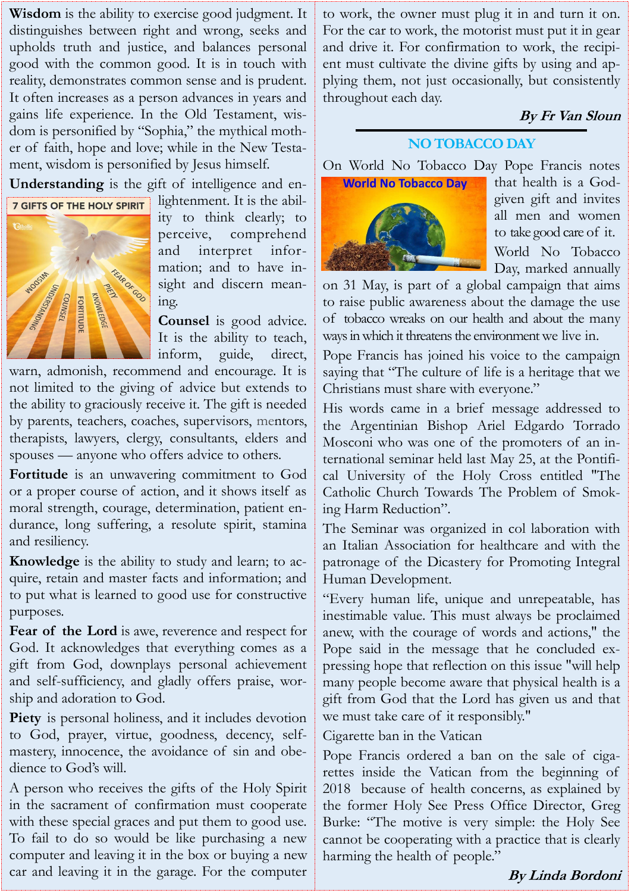**Wisdom** is the ability to exercise good judgment. It distinguishes between right and wrong, seeks and upholds truth and justice, and balances personal good with the common good. It is in touch with reality, demonstrates common sense and is prudent. It often increases as a person advances in years and gains life experience. In the Old Testament, wisdom is personified by "Sophia," the mythical mother of faith, hope and love; while in the New Testament, wisdom is personified by Jesus himself.

**Understanding** is the gift of intelligence and en-



lightenment. It is the ability to think clearly; to perceive, comprehend and interpret information; and to have insight and discern meaning.

**Counsel** is good advice. It is the ability to teach, inform, guide, direct,

warn, admonish, recommend and encourage. It is not limited to the giving of advice but extends to the ability to graciously receive it. The gift is needed by parents, teachers, coaches, supervisors, mentors, therapists, lawyers, clergy, consultants, elders and spouses — anyone who offers advice to others.

**Fortitude** is an unwavering commitment to God or a proper course of action, and it shows itself as moral strength, courage, determination, patient endurance, long suffering, a resolute spirit, stamina and resiliency.

**Knowledge** is the ability to study and learn; to acquire, retain and master facts and information; and to put what is learned to good use for constructive purposes.

**Fear of the Lord** is awe, reverence and respect for God. It acknowledges that everything comes as a gift from God, downplays personal achievement and self-sufficiency, and gladly offers praise, worship and adoration to God.

Piety is personal holiness, and it includes devotion to God, prayer, virtue, goodness, decency, selfmastery, innocence, the avoidance of sin and obedience to God's will.

A person who receives the gifts of the Holy Spirit in the sacrament of confirmation must cooperate with these special graces and put them to good use. To fail to do so would be like purchasing a new computer and leaving it in the box or buying a new car and leaving it in the garage. For the computer

to work, the owner must plug it in and turn it on. For the car to work, the motorist must put it in gear and drive it. For confirmation to work, the recipient must cultivate the divine gifts by using and applying them, not just occasionally, but consistently throughout each day.

# **By Fr Van Sloun**

## **NO TOBACCO DAY**

On World No Tobacco Day Pope Francis notes



that health is a Godgiven gift and invites all men and women to take good care of it. World No Tobacco Day, marked annually

on 31 May, is part of a global campaign that aims to raise public awareness about the damage the use of tobacco wreaks on our health and about the many ways in which it threatens the environment we live in.

Pope Francis has joined his voice to the campaign saying that "The culture of life is a heritage that we Christians must share with everyone."

His words came in a brief message addressed to the Argentinian Bishop Ariel Edgardo Torrado Mosconi who was one of the promoters of an international seminar held last May 25, at the Pontifical University of the Holy Cross entitled "The Catholic Church Towards The Problem of Smoking Harm Reduction".

The Seminar was organized in col laboration with an Italian Association for healthcare and with the patronage of the Dicastery for Promoting Integral Human Development.

"Every human life, unique and unrepeatable, has inestimable value. This must always be proclaimed anew, with the courage of words and actions," the Pope said in the message that he concluded expressing hope that reflection on this issue "will help many people become aware that physical health is a gift from God that the Lord has given us and that we must take care of it responsibly."

Cigarette ban in the Vatican

Pope Francis ordered a ban on the sale of cigarettes inside the Vatican from the beginning of 2018 because of health concerns, as explained by the former Holy See Press Office Director, Greg Burke: "The motive is very simple: the Holy See cannot be cooperating with a practice that is clearly harming the health of people."

## **By Linda Bordoni**